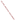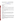# **Technical Factsheet on: 1,1,2-TRICHLOROETHANE**

## [List of Contaminants](http://www.epa.gov/safewater/hfacts.html)

 As part of the Drinking Water and Health pages, this fact sheet is part of a larger publication: **National Primary Drinking Water Regulations** 

### **Drinking Water Standards**

MCLG: 0.003 mg/L MCL: 0.005 mg/L HAL(child): 1 day: 0.6 mg/L; Longer-term: 0.4 mg/L

#### **Health Effects Summary**

Acute: EPA has found 1,1,2-trichloroethane (1,1,2-TCE) to potentially cause the following health effects from acute exposures at levels above the MCL: irritation of gastrointestinal tract; red or hemorrhaged lungs; pale liver.

Drinking water levels which are considered "safe" for short-term exposures: For a 10-kg (22 lb.) child consuming 1 liter of water per day: a one-day exposure of 0.6 mg/L; upto a 7-year exposure to 0.4 mg/L.

 levels above the MCL: damage to liver and kidneys. Chronic: 1,1,2-TCE has the potential to cause the following health effects from long-term exposures at

Cancer: There is some evidence that 1,1,2-TCE may have the potential to cause cancer from a lifetime exposure at levels above the MCL.

#### **Usage Patterns**

 1,1,2-Trichloroethane is only important as an intermediate in the production of 1,1-dichloroethylene (vinylidene chloride) and to some extent for the synthesis of tetrachloroethanes. It is also used in adhesives, production of teflon tubing, in lacquer and coating formulations, and as a solvent for fats, oils, waxes, etc.

An estimated 124 million lbs. of 1,1,2-TCE was produced in the US during 1974, based on the manufacture of vinylidene chloride.

#### **Release Patterns**

 1,1,2-Trichloroethane will enter the atmosphere from its use in the manufacture of vinylidene chloride and its use as a solvent. It will also be discharged in wastewater associated with these uses and in leachates in the US to be 4 million lbs. and volatile emissions from landfills. The EPA estimates the gross annual discharge of 1,1,2-TCE waste

 primarily from alkalis and chlorine industries which use it as an intermediate in chemical manufacture. The From 1987 to 1993, according to EPA's Toxic Chemical Release Inventory, 1,1,2-TCE releases to land and water totalled over 30,000 lbs., of which about 98 percent was to water. These releases were largest releases occurred in Louisiana and Texas.

#### **Environmental Fate**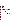When released into water, 1,1,2-trichloroethane should primarily evaporate. Little of the chemical will be lost by adsorption to sediment or by biodegradation. Aquatic hydrolysis is not expected to be important.

 (half-life 24-50 days in unpolluted atmospheres to a few days in polluted atmospheres). Once in the atmosphere, 1,1,2-trichloroethane will photodegrade slowly by reaction with hydroxyl radicals

 under anaerobic conditions. Biodegradation in groundwater or subsurface regions may occur, but When released to land 1,1,2-trichloroethane should partially volatilize and partially leach into the groundwater. Experimentally determined Koc values of 83-209 indicated that 1,1,2-trichloroethane will be moderately to highly mobile in soil. Several biodegradation screening studies have determined that 1,1,2 trichloroethane is resistant to biodegradation. Other screening studies have observed biotransformation appears to be very slow.

 was reported to be <1. 1,1,2-Trichloroethane would not be expected to bioconcentrate since the experimental log BCF in fish

 sources and contaminated drinking water. Primary human exposure is from occupational exposure and from ambient air in the vicinity of industrial

#### **Chemical/Physical Properties**

CAS Number: 79-00-5

Color/ Form/Odor: Clear liquid with a pleasant, chloroform-like odor<br>M.P.: -36.6 C B.P.: 113.8 C<br>Vapor Pressure: 23 mm Hg at 25 C

M.P.: -36.6 C B.P.: 113.8 C

Octanol/Water Partition (Kow): Log Kow = 2.17

Density/Spec. Grav.: 1.4 at 20 C

Solubility: 4.4 g/L of water at 20 C; Soluble in water

Soil sorption coefficient: Koc measured at 83 to 209; moderate to high mobility in soil

Odor/Taste Thresholds: N/A

Bioconcentration Factor: BCF <1 in fish; not expected to bioconcentrate in aquatic organisms.

Henry's Law Coefficient: 8.24x10-4 atm-cu m/mole;

Trade Names/Synonyms: Beta-trichloroethane; Beta-T; Vinyl trichloride

#### **Other Regulatory Information**

Monitoring:

-- For Ground/Surface Water Sources: